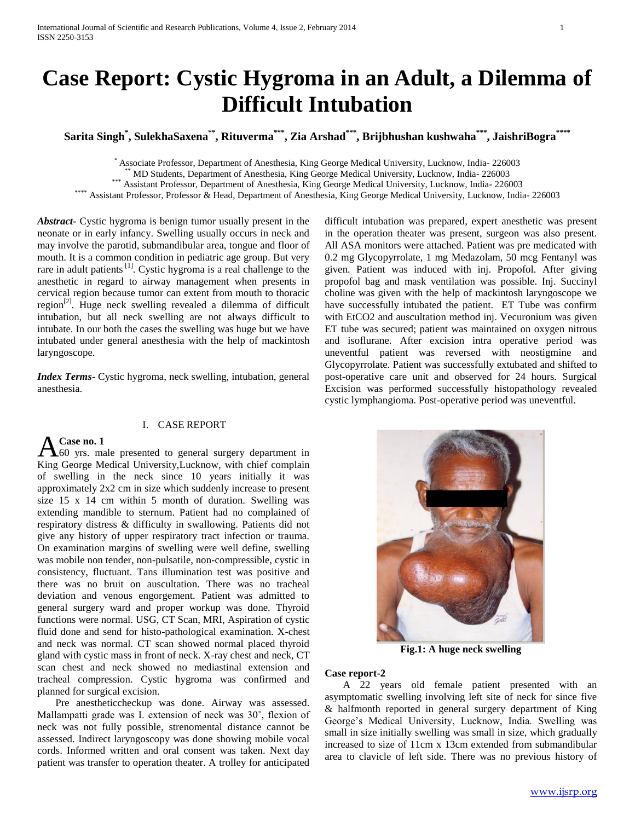# **Case Report: Cystic Hygroma in an Adult, a Dilemma of Difficult Intubation**

**Sarita Singh\* , SulekhaSaxena\*\*, Rituverma\*\*\*, Zia Arshad\*\*\*, Brijbhushan kushwaha\*\*\* , JaishriBogra\*\*\*\***

\* Associate Professor, Department of Anesthesia, King George Medical University, Lucknow, India- 226003

\*\* MD Students, Department of Anesthesia, King George Medical University, Lucknow, India- 226003

\*\*\* Assistant Professor, Department of Anesthesia, King George Medical University, Lucknow, India- 226003

\*\*\*\* Assistant Professor, Professor & Head, Department of Anesthesia, King George Medical University, Lucknow, India- 226003

*Abstract***-** Cystic hygroma is benign tumor usually present in the neonate or in early infancy. Swelling usually occurs in neck and may involve the parotid, submandibular area, tongue and floor of mouth. It is a common condition in pediatric age group. But very rare in adult patients  $\left[1\right]$ . Cystic hygroma is a real challenge to the anesthetic in regard to airway management when presents in cervical region because tumor can extent from mouth to thoracic region<sup>[2]</sup>. Huge neck swelling revealed a dilemma of difficult intubation, but all neck swelling are not always difficult to intubate. In our both the cases the swelling was huge but we have intubated under general anesthesia with the help of mackintosh laryngoscope.

*Index Terms*- Cystic hygroma, neck swelling, intubation, general anesthesia.

## I. CASE REPORT

# **Case no. 1**

 $\Delta_{60}^{Case}$  no. 1<br> $\ldots$  male presented to general surgery department in King George Medical University,Lucknow, with chief complain of swelling in the neck since 10 years initially it was approximately 2x2 cm in size which suddenly increase to present size 15 x 14 cm within 5 month of duration. Swelling was extending mandible to sternum. Patient had no complained of respiratory distress & difficulty in swallowing. Patients did not give any history of upper respiratory tract infection or trauma. On examination margins of swelling were well define, swelling was mobile non tender, non-pulsatile, non-compressible, cystic in consistency, fluctuant. Tans illumination test was positive and there was no bruit on auscultation. There was no tracheal deviation and venous engorgement. Patient was admitted to general surgery ward and proper workup was done. Thyroid functions were normal. USG, CT Scan, MRI, Aspiration of cystic fluid done and send for histo-pathological examination. X-chest and neck was normal. CT scan showed normal placed thyroid gland with cystic mass in front of neck. X-ray chest and neck, CT scan chest and neck showed no mediastinal extension and tracheal compression. Cystic hygroma was confirmed and planned for surgical excision.

 Pre anestheticcheckup was done. Airway was assessed. Mallampatti grade was I. extension of neck was 30˚, flexion of neck was not fully possible, strenomental distance cannot be assessed. Indirect laryngoscopy was done showing mobile vocal cords. Informed written and oral consent was taken. Next day patient was transfer to operation theater. A trolley for anticipated difficult intubation was prepared, expert anesthetic was present in the operation theater was present, surgeon was also present. All ASA monitors were attached. Patient was pre medicated with 0.2 mg Glycopyrrolate, 1 mg Medazolam, 50 mcg Fentanyl was given. Patient was induced with inj. Propofol. After giving propofol bag and mask ventilation was possible. Inj. Succinyl choline was given with the help of mackintosh laryngoscope we have successfully intubated the patient. ET Tube was confirm with EtCO2 and auscultation method inj. Vecuronium was given ET tube was secured; patient was maintained on oxygen nitrous and isoflurane. After excision intra operative period was uneventful patient was reversed with neostigmine and Glycopyrrolate. Patient was successfully extubated and shifted to post-operative care unit and observed for 24 hours. Surgical Excision was performed successfully histopathology revealed cystic lymphangioma. Post-operative period was uneventful.



**Fig.1: A huge neck swelling**

### **Case report-2**

 A 22 years old female patient presented with an asymptomatic swelling involving left site of neck for since five & halfmonth reported in general surgery department of King George's Medical University, Lucknow, India. Swelling was small in size initially swelling was small in size, which gradually increased to size of 11cm x 13cm extended from submandibular area to clavicle of left side. There was no previous history of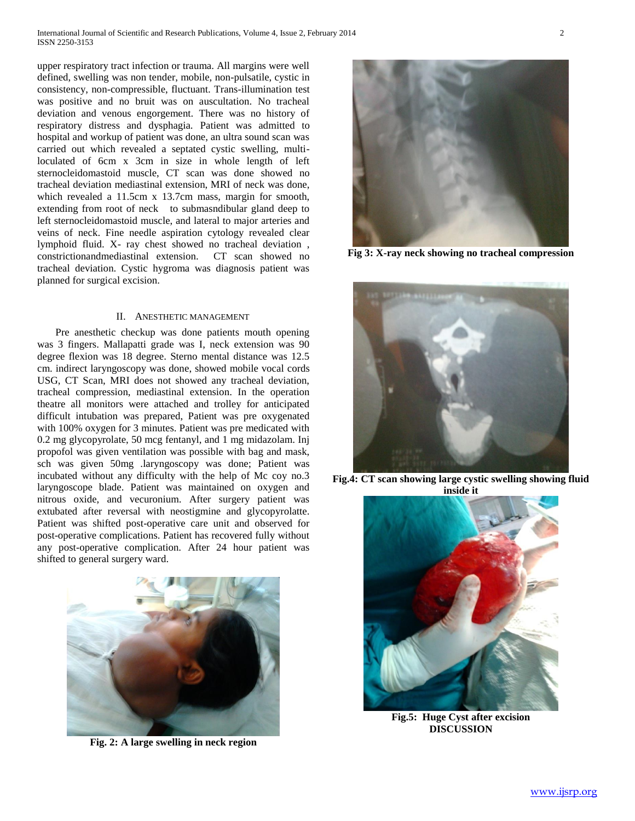upper respiratory tract infection or trauma. All margins were well defined, swelling was non tender, mobile, non-pulsatile, cystic in consistency, non-compressible, fluctuant. Trans-illumination test was positive and no bruit was on auscultation. No tracheal deviation and venous engorgement. There was no history of respiratory distress and dysphagia. Patient was admitted to hospital and workup of patient was done, an ultra sound scan was carried out which revealed a septated cystic swelling, multiloculated of 6cm x 3cm in size in whole length of left sternocleidomastoid muscle, CT scan was done showed no tracheal deviation mediastinal extension, MRI of neck was done, which revealed a 11.5cm x 13.7cm mass, margin for smooth, extending from root of neck to submasndibular gland deep to left sternocleidomastoid muscle, and lateral to major arteries and veins of neck. Fine needle aspiration cytology revealed clear lymphoid fluid. X- ray chest showed no tracheal deviation , constrictionandmediastinal extension. CT scan showed no tracheal deviation. Cystic hygroma was diagnosis patient was planned for surgical excision.

#### II. ANESTHETIC MANAGEMENT

 Pre anesthetic checkup was done patients mouth opening was 3 fingers. Mallapatti grade was I, neck extension was 90 degree flexion was 18 degree. Sterno mental distance was 12.5 cm. indirect laryngoscopy was done, showed mobile vocal cords USG, CT Scan, MRI does not showed any tracheal deviation, tracheal compression, mediastinal extension. In the operation theatre all monitors were attached and trolley for anticipated difficult intubation was prepared, Patient was pre oxygenated with 100% oxygen for 3 minutes. Patient was pre medicated with 0.2 mg glycopyrolate, 50 mcg fentanyl, and 1 mg midazolam. Inj propofol was given ventilation was possible with bag and mask, sch was given 50mg .laryngoscopy was done; Patient was incubated without any difficulty with the help of Mc coy no.3 laryngoscope blade. Patient was maintained on oxygen and nitrous oxide, and vecuronium. After surgery patient was extubated after reversal with neostigmine and glycopyrolatte. Patient was shifted post-operative care unit and observed for post-operative complications. Patient has recovered fully without any post-operative complication. After 24 hour patient was shifted to general surgery ward.



**Fig. 2: A large swelling in neck region**



**Fig 3: X-ray neck showing no tracheal compression**







**Fig.5: Huge Cyst after excision DISCUSSION**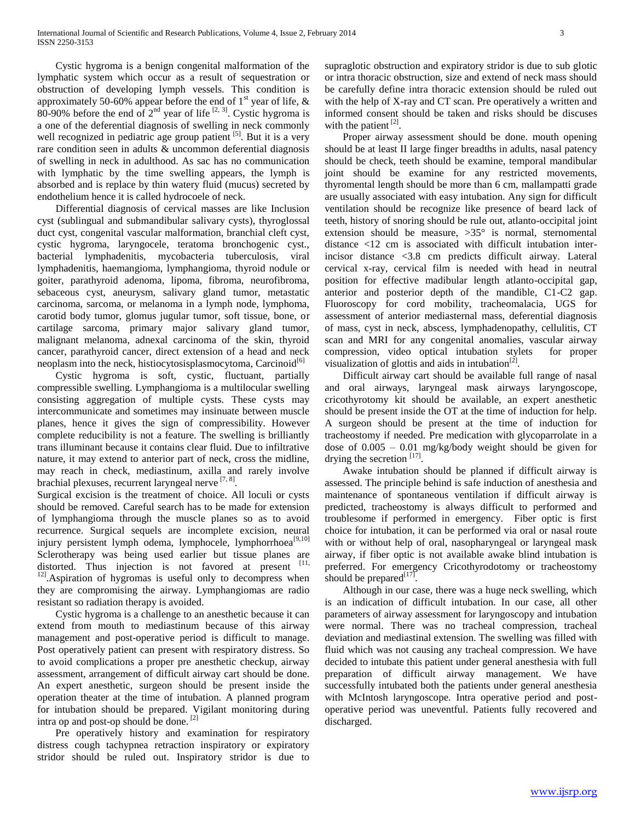Cystic hygroma is a benign congenital malformation of the lymphatic system which occur as a result of sequestration or obstruction of developing lymph vessels. This condition is approximately 50-60% appear before the end of  $1<sup>st</sup>$  year of life, & 80-90% before the end of  $2<sup>nd</sup>$  year of life  $[2, 3]$ . Cystic hygroma is a one of the deferential diagnosis of swelling in neck commonly well recognized in pediatric age group patient  $[5]$ . But it is a very rare condition seen in adults & uncommon deferential diagnosis of swelling in neck in adulthood. As sac has no communication with lymphatic by the time swelling appears, the lymph is absorbed and is replace by thin watery fluid (mucus) secreted by endothelium hence it is called hydrocoele of neck.

 Differential diagnosis of cervical masses are like Inclusion cyst (sublingual and submandibular salivary cysts), thyroglossal duct cyst, congenital vascular malformation, branchial cleft cyst, cystic hygroma, laryngocele, teratoma bronchogenic cyst., bacterial lymphadenitis, mycobacteria tuberculosis, viral lymphadenitis, haemangioma, lymphangioma, thyroid nodule or goiter, parathyroid adenoma, lipoma, fibroma, neurofibroma, sebaceous cyst, aneurysm, salivary gland tumor, metastatic carcinoma, sarcoma, or melanoma in a lymph node, lymphoma, carotid body tumor, glomus jugular tumor, soft tissue, bone, or cartilage sarcoma, primary major salivary gland tumor, malignant melanoma, adnexal carcinoma of the skin, thyroid cancer, parathyroid cancer, direct extension of a head and neck neoplasm into the neck, histiocytosisplasmocytoma, Carcinoid<sup>[6]</sup>

 Cystic hygroma is soft, cystic, fluctuant, partially compressible swelling. Lymphangioma is a multilocular swelling consisting aggregation of multiple cysts. These cysts may intercommunicate and sometimes may insinuate between muscle planes, hence it gives the sign of compressibility. However complete reducibility is not a feature. The swelling is brilliantly trans illuminant because it contains clear fluid. Due to infiltrative nature, it may extend to anterior part of neck, cross the midline, may reach in check, mediastinum, axilla and rarely involve brachial plexuses, recurrent laryngeal nerve [7, 8].

Surgical excision is the treatment of choice. All loculi or cysts should be removed. Careful search has to be made for extension of lymphangioma through the muscle planes so as to avoid recurrence. Surgical sequels are incomplete excision, neural injury persistent lymph odema, lymphocele, lymphorrhoea<sup>[9,10]</sup> Sclerotherapy was being used earlier but tissue planes are distorted. Thus injection is not favored at present  $[11, 1]$ <sup>12]</sup>.Aspiration of hygromas is useful only to decompress when they are compromising the airway. Lymphangiomas are radio resistant so radiation therapy is avoided.

 Cystic hygroma is a challenge to an anesthetic because it can extend from mouth to mediastinum because of this airway management and post-operative period is difficult to manage. Post operatively patient can present with respiratory distress. So to avoid complications a proper pre anesthetic checkup, airway assessment, arrangement of difficult airway cart should be done. An expert anesthetic, surgeon should be present inside the operation theater at the time of intubation. A planned program for intubation should be prepared. Vigilant monitoring during intra op and post-op should be done. [2]

 Pre operatively history and examination for respiratory distress cough tachypnea retraction inspiratory or expiratory stridor should be ruled out. Inspiratory stridor is due to

supraglotic obstruction and expiratory stridor is due to sub glotic or intra thoracic obstruction, size and extend of neck mass should be carefully define intra thoracic extension should be ruled out with the help of X-ray and CT scan. Pre operatively a written and informed consent should be taken and risks should be discuses with the patient  $^{[2]}$ .

 Proper airway assessment should be done. mouth opening should be at least II large finger breadths in adults, nasal patency should be check, teeth should be examine, temporal mandibular joint should be examine for any restricted movements, thyromental length should be more than 6 cm, mallampatti grade are usually associated with easy intubation. Any sign for difficult ventilation should be recognize like presence of beard lack of teeth, history of snoring should be rule out, atlanto-occipital joint extension should be measure,  $>35^{\circ}$  is normal, sternomental distance <12 cm is associated with difficult intubation interincisor distance <3.8 cm predicts difficult airway. Lateral cervical x-ray, cervical film is needed with head in neutral position for effective madibular length atlanto-occipital gap, anterior and posterior depth of the mandible, C1-C2 gap. Fluoroscopy for cord mobility, tracheomalacia, UGS for assessment of anterior mediasternal mass, deferential diagnosis of mass, cyst in neck, abscess, lymphadenopathy, cellulitis, CT scan and MRI for any congenital anomalies, vascular airway compression, video optical intubation stylets for proper visualization of glottis and aids in intubation<sup>[2]</sup>.

 Difficult airway cart should be available full range of nasal and oral airways, laryngeal mask airways laryngoscope, cricothyrotomy kit should be available, an expert anesthetic should be present inside the OT at the time of induction for help. A surgeon should be present at the time of induction for tracheostomy if needed. Pre medication with glycoparrolate in a dose of 0.005 – 0.01 mg/kg/body weight should be given for drying the secretion  $^{[17]}$ .

 Awake intubation should be planned if difficult airway is assessed. The principle behind is safe induction of anesthesia and maintenance of spontaneous ventilation if difficult airway is predicted, tracheostomy is always difficult to performed and troublesome if performed in emergency. Fiber optic is first choice for intubation, it can be performed via oral or nasal route with or without help of oral, nasopharyngeal or laryngeal mask airway, if fiber optic is not available awake blind intubation is preferred. For emergency Cricothyrodotomy or tracheostomy should be prepared  $[17]$ .

 Although in our case, there was a huge neck swelling, which is an indication of difficult intubation. In our case, all other parameters of airway assessment for laryngoscopy and intubation were normal. There was no tracheal compression, tracheal deviation and mediastinal extension. The swelling was filled with fluid which was not causing any tracheal compression. We have decided to intubate this patient under general anesthesia with full preparation of difficult airway management. We have successfully intubated both the patients under general anesthesia with McIntosh laryngoscope. Intra operative period and postoperative period was uneventful. Patients fully recovered and discharged.